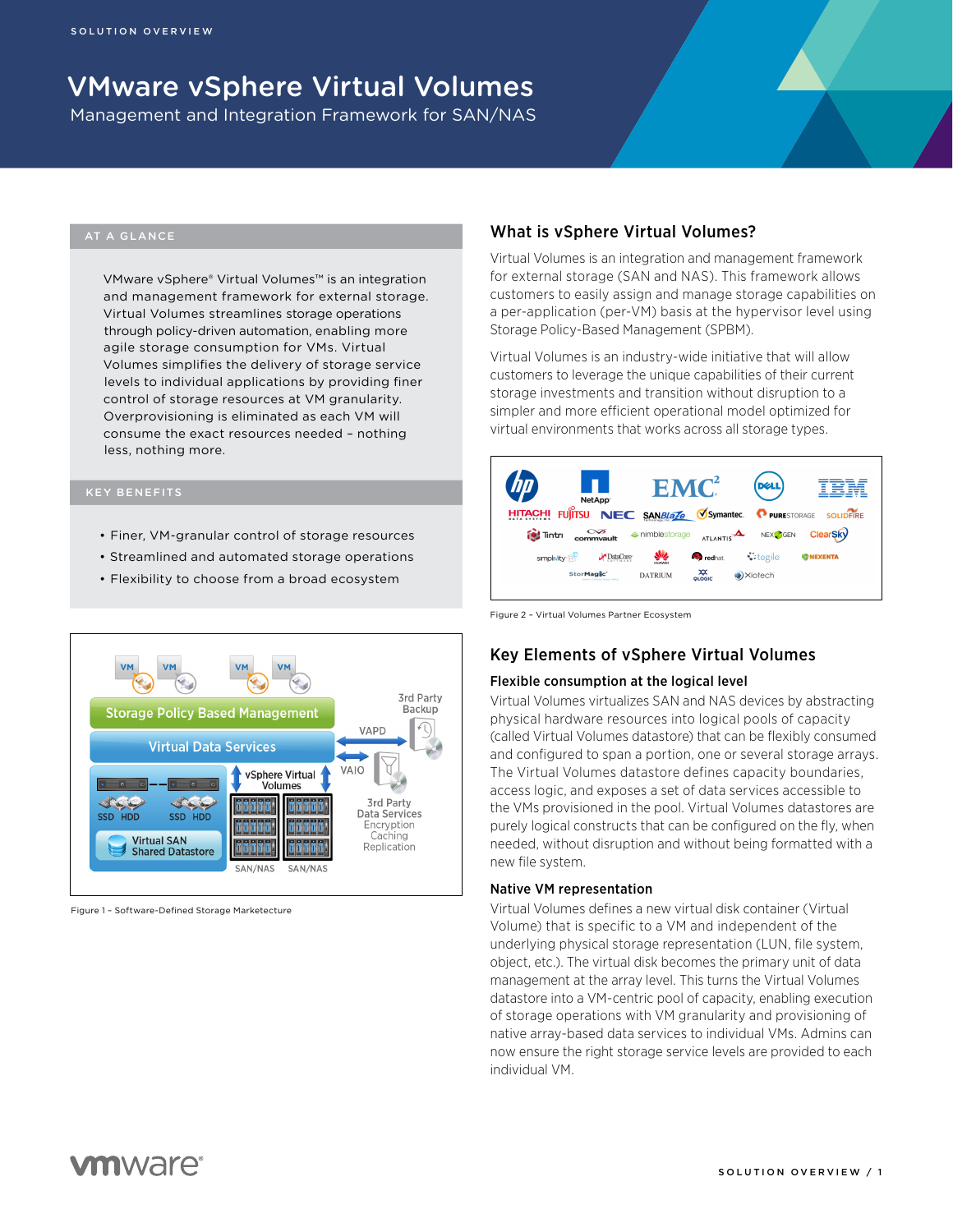# VMware vSphere Virtual Volumes

Management and Integration Framework for SAN/NAS

#### AT A GLANCE

VMware vSphere® Virtual Volumes™ is an integration and management framework for external storage. Virtual Volumes streamlines storage operations through policy-driven automation, enabling more agile storage consumption for VMs. Virtual Volumes simplifies the delivery of storage service levels to individual applications by providing finer control of storage resources at VM granularity. Overprovisioning is eliminated as each VM will consume the exact resources needed – nothing less, nothing more.

- Finer, VM-granular control of storage resources
- Streamlined and automated storage operations
- Flexibility to choose from a broad ecosystem



Figure 1 – Software-Defined Storage Marketecture

#### What is vSphere Virtual Volumes?

Virtual Volumes is an integration and management framework for external storage (SAN and NAS). This framework allows customers to easily assign and manage storage capabilities on a per-application (per-VM) basis at the hypervisor level using Storage Policy-Based Management (SPBM).

Virtual Volumes is an industry-wide initiative that will allow customers to leverage the unique capabilities of their current storage investments and transition without disruption to a simpler and more efficient operational model optimized for virtual environments that works across all storage types.



Figure 2 – Virtual Volumes Partner Ecosystem

### Key Elements of vSphere Virtual Volumes

#### Flexible consumption at the logical level

Virtual Volumes virtualizes SAN and NAS devices by abstracting physical hardware resources into logical pools of capacity (called Virtual Volumes datastore) that can be flexibly consumed and configured to span a portion, one or several storage arrays. The Virtual Volumes datastore defines capacity boundaries, access logic, and exposes a set of data services accessible to the VMs provisioned in the pool. Virtual Volumes datastores are purely logical constructs that can be configured on the fly, when needed, without disruption and without being formatted with a new file system.

#### Native VM representation

Virtual Volumes defines a new virtual disk container (Virtual Volume) that is specific to a VM and independent of the underlying physical storage representation (LUN, file system, object, etc.). The virtual disk becomes the primary unit of data management at the array level. This turns the Virtual Volumes datastore into a VM-centric pool of capacity, enabling execution of storage operations with VM granularity and provisioning of native array-based data services to individual VMs. Admins can now ensure the right storage service levels are provided to each individual VM.